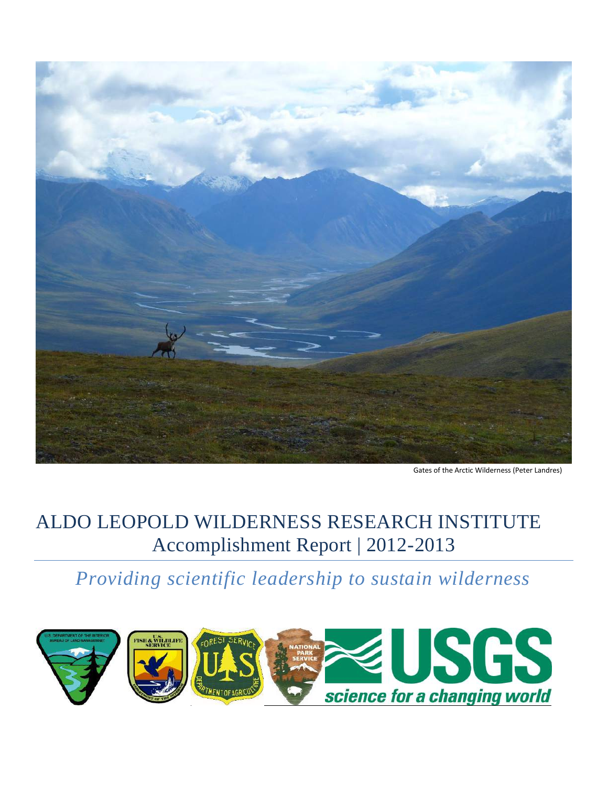

Gates of the Arctic Wilderness (Peter Landres)

# ALDO LEOPOLD WILDERNESS RESEARCH INSTITUTE Accomplishment Report | 2012-2013

*Providing scientific leadership to sustain wilderness*

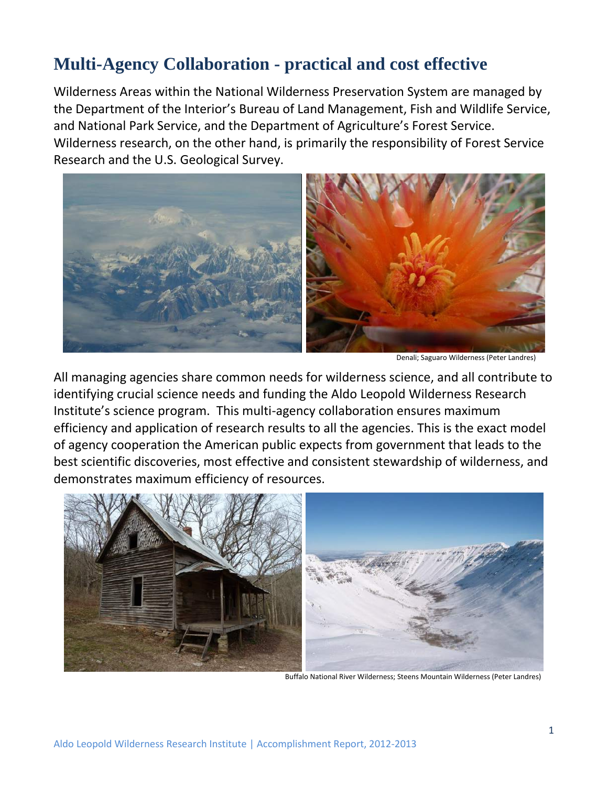### **Multi-Agency Collaboration - practical and cost effective**

Wilderness Areas within the National Wilderness Preservation System are managed by the Department of the Interior's Bureau of Land Management, Fish and Wildlife Service, and National Park Service, and the Department of Agriculture's Forest Service. Wilderness research, on the other hand, is primarily the responsibility of Forest Service Research and the U.S. Geological Survey.



Denali; Saguaro Wilderness (Peter Landres)

All managing agencies share common needs for wilderness science, and all contribute to identifying crucial science needs and funding the Aldo Leopold Wilderness Research Institute's science program. This multi-agency collaboration ensures maximum efficiency and application of research results to all the agencies. This is the exact model of agency cooperation the American public expects from government that leads to the best scientific discoveries, most effective and consistent stewardship of wilderness, and demonstrates maximum efficiency of resources.

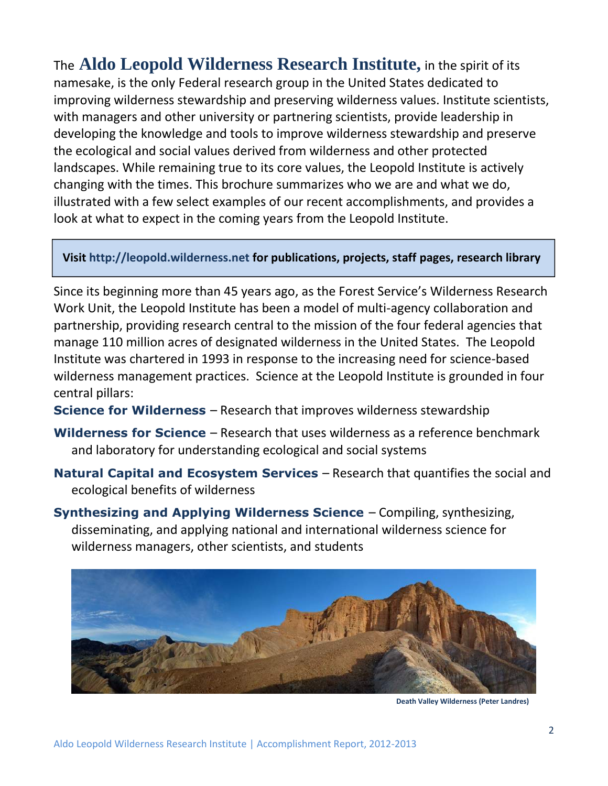The **Aldo Leopold Wilderness Research Institute,** in the spirit of its namesake, is the only Federal research group in the United States dedicated to improving wilderness stewardship and preserving wilderness values. Institute scientists, with managers and other university or partnering scientists, provide leadership in developing the knowledge and tools to improve wilderness stewardship and preserve the ecological and social values derived from wilderness and other protected landscapes. While remaining true to its core values, the Leopold Institute is actively changing with the times. This brochure summarizes who we are and what we do, illustrated with a few select examples of our recent accomplishments, and provides a look at what to expect in the coming years from the Leopold Institute.

#### **Visit http://leopold.wilderness.net for publications, projects, staff pages, research library**

Since its beginning more than 45 years ago, as the Forest Service's Wilderness Research Work Unit, the Leopold Institute has been a model of multi-agency collaboration and partnership, providing research central to the mission of the four federal agencies that manage 110 million acres of designated wilderness in the United States. The Leopold Institute was chartered in 1993 in response to the increasing need for science-based wilderness management practices. Science at the Leopold Institute is grounded in four central pillars:

- **Science for Wilderness** Research that improves wilderness stewardship
- **Wilderness for Science** Research that uses wilderness as a reference benchmark and laboratory for understanding ecological and social systems
- **Natural Capital and Ecosystem Services** Research that quantifies the social and ecological benefits of wilderness
- **Synthesizing and Applying Wilderness Science** Compiling, synthesizing, disseminating, and applying national and international wilderness science for wilderness managers, other scientists, and students



 **Death Valley Wilderness (Peter Landres)**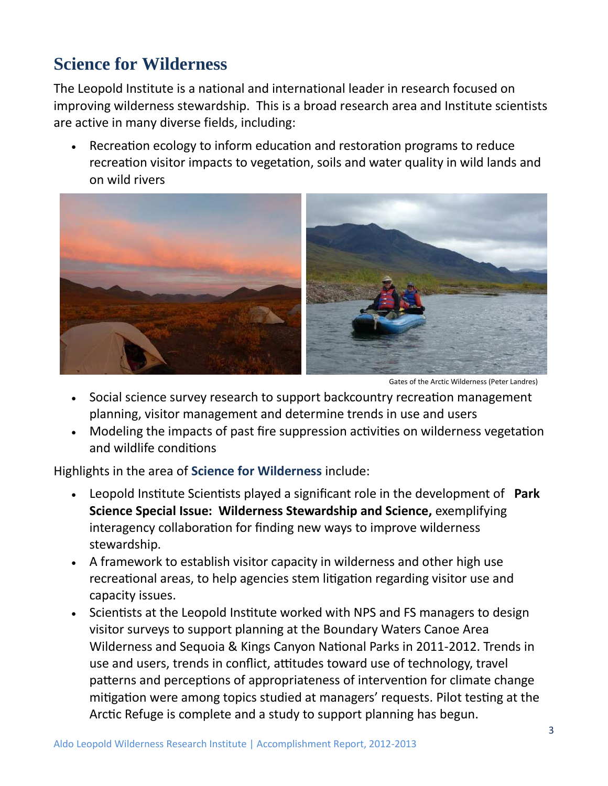## **Science for Wilderness**

The Leopold Institute is a national and international leader in research focused on improving wilderness stewardship. This is a broad research area and Institute scientists are active in many diverse fields, including:

 Recreation ecology to inform education and restoration programs to reduce recreation visitor impacts to vegetation, soils and water quality in wild lands and on wild rivers



Gates of the Arctic Wilderness (Peter Landres)

- Social science survey research to support backcountry recreation management planning, visitor management and determine trends in use and users
- Modeling the impacts of past fire suppression activities on wilderness vegetation and wildlife conditions

Highlights in the area of **Science for Wilderness** include:

- Leopold Institute Scientists played a significant role in the development of **Park Science Special Issue: Wilderness Stewardship and Science,** exemplifying interagency collaboration for finding new ways to improve wilderness stewardship.
- A framework to establish visitor capacity in wilderness and other high use recreational areas, to help agencies stem litigation regarding visitor use and capacity issues.
- Scientists at the Leopold Institute worked with NPS and FS managers to design visitor surveys to support planning at the Boundary Waters Canoe Area Wilderness and Sequoia & Kings Canyon National Parks in 2011-2012. Trends in use and users, trends in conflict, attitudes toward use of technology, travel patterns and perceptions of appropriateness of intervention for climate change mitigation were among topics studied at managers' requests. Pilot testing at the Arctic Refuge is complete and a study to support planning has begun.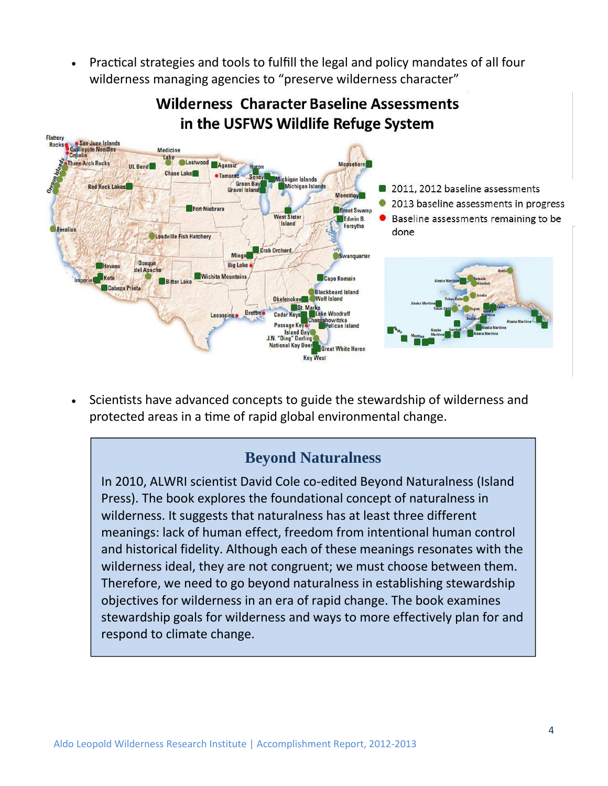Practical strategies and tools to fulfill the legal and policy mandates of all four wilderness managing agencies to "preserve wilderness character"

### **Wilderness Character Baseline Assessments** in the USFWS Wildlife Refuge System



 Scientists have advanced concepts to guide the stewardship of wilderness and protected areas in a time of rapid global environmental change.

#### **Beyond Naturalness**

In 2010, ALWRI scientist David Cole co-edited Beyond Naturalness (Island Press). The book explores the foundational concept of naturalness in wilderness. It suggests that naturalness has at least three different meanings: lack of human effect, freedom from intentional human control and historical fidelity. Although each of these meanings resonates with the wilderness ideal, they are not congruent; we must choose between them. Therefore, we need to go beyond naturalness in establishing stewardship objectives for wilderness in an era of rapid change. The book examines stewardship goals for wilderness and ways to more effectively plan for and respond to climate change.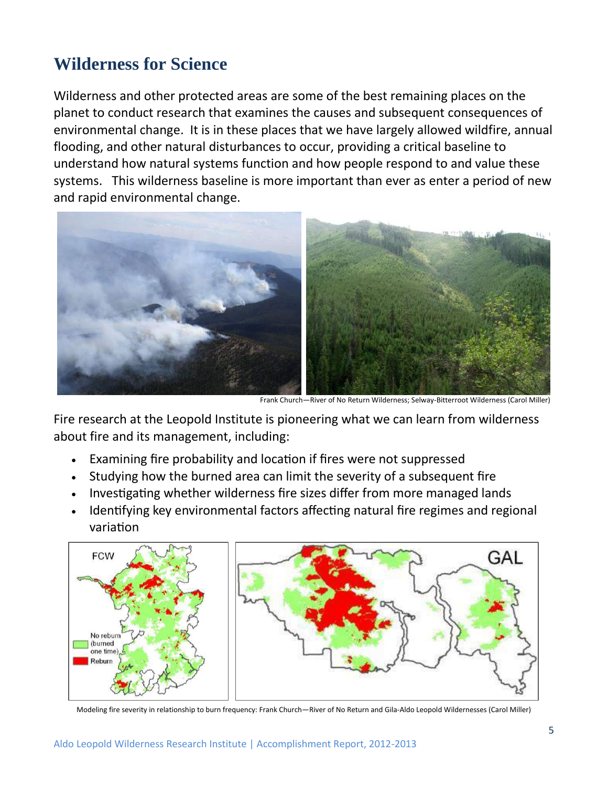### **Wilderness for Science**

Wilderness and other protected areas are some of the best remaining places on the planet to conduct research that examines the causes and subsequent consequences of environmental change. It is in these places that we have largely allowed wildfire, annual flooding, and other natural disturbances to occur, providing a critical baseline to understand how natural systems function and how people respond to and value these systems. This wilderness baseline is more important than ever as enter a period of new and rapid environmental change.



Fire research at the Leopold Institute is pioneering what we can learn from wilderness about fire and its management, including:

- Examining fire probability and location if fires were not suppressed
- Studying how the burned area can limit the severity of a subsequent fire
- Investigating whether wilderness fire sizes differ from more managed lands
- Identifying key environmental factors affecting natural fire regimes and regional variation



Modeling fire severity in relationship to burn frequency: Frank Church—River of No Return and Gila-Aldo Leopold Wildernesses (Carol Miller)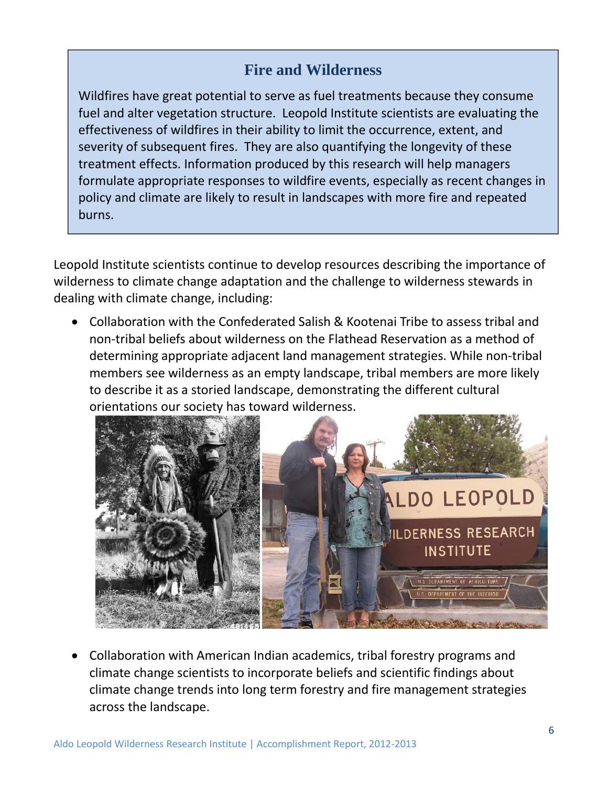#### **Fire and Wilderness**

Wildfires have great potential to serve as fuel treatments because they consume fuel and alter vegetation structure. Leopold Institute scientists are evaluating the effectiveness of wildfires in their ability to limit the occurrence, extent, and severity of subsequent fires. They are also quantifying the longevity of these treatment effects. Information produced by this research will help managers formulate appropriate responses to wildfire events, especially as recent changes in policy and climate are likely to result in landscapes with more fire and repeated burns.

Leopold Institute scientists continue to develop resources describing the importance of wilderness to climate change adaptation and the challenge to wilderness stewards in dealing with climate change, including:

 Collaboration with the Confederated Salish & Kootenai Tribe to assess tribal and non-tribal beliefs about wilderness on the Flathead Reservation as a method of determining appropriate adjacent land management strategies. While non-tribal members see wilderness as an empty landscape, tribal members are more likely to describe it as a storied landscape, demonstrating the different cultural orientations our society has toward wilderness.



 Collaboration with American Indian academics, tribal forestry programs and climate change scientists to incorporate beliefs and scientific findings about climate change trends into long term forestry and fire management strategies across the landscape.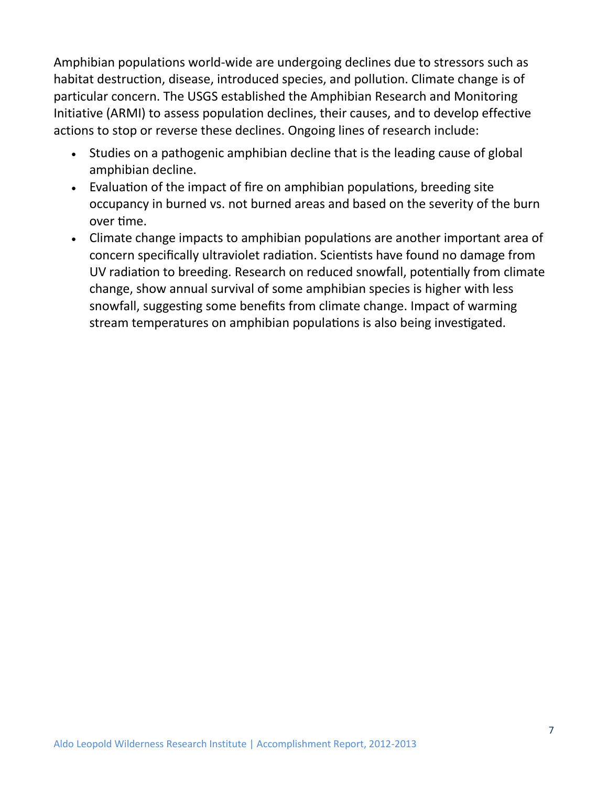Amphibian populations world-wide are undergoing declines due to stressors such as habitat destruction, disease, introduced species, and pollution. Climate change is of particular concern. The USGS established the Amphibian Research and Monitoring Initiative (ARMI) to assess population declines, their causes, and to develop effective actions to stop or reverse these declines. Ongoing lines of research include:

- Studies on a pathogenic amphibian decline that is the leading cause of global amphibian decline.
- Evaluation of the impact of fire on amphibian populations, breeding site occupancy in burned vs. not burned areas and based on the severity of the burn over time.
- Climate change impacts to amphibian populations are another important area of concern specifically ultraviolet radiation. Scientists have found no damage from UV radiation to breeding. Research on reduced snowfall, potentially from climate change, show annual survival of some amphibian species is higher with less snowfall, suggesting some benefits from climate change. Impact of warming stream temperatures on amphibian populations is also being investigated.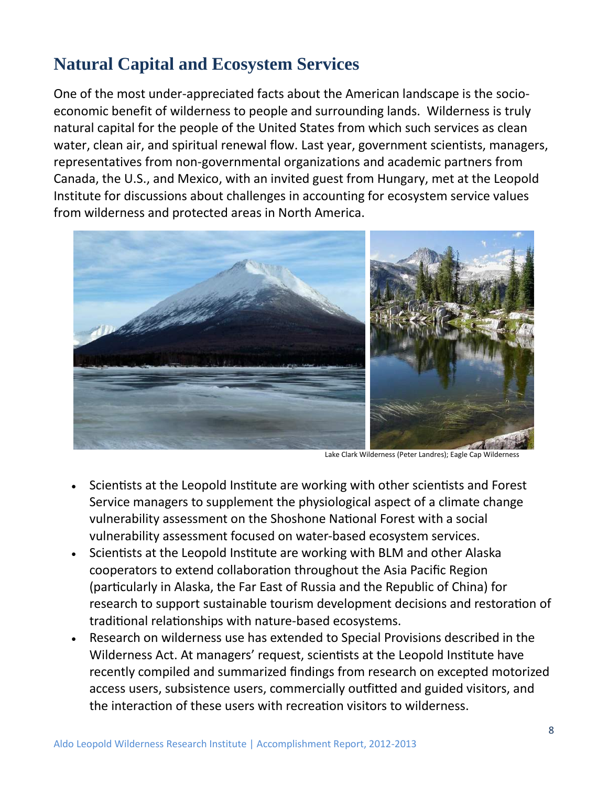## **Natural Capital and Ecosystem Services**

One of the most under-appreciated facts about the American landscape is the socioeconomic benefit of wilderness to people and surrounding lands. Wilderness is truly natural capital for the people of the United States from which such services as clean water, clean air, and spiritual renewal flow. Last year, government scientists, managers, representatives from non-governmental organizations and academic partners from Canada, the U.S., and Mexico, with an invited guest from Hungary, met at the Leopold Institute for discussions about challenges in accounting for ecosystem service values from wilderness and protected areas in North America.



- Scientists at the Leopold Institute are working with other scientists and Forest Service managers to supplement the physiological aspect of a climate change vulnerability assessment on the Shoshone National Forest with a social vulnerability assessment focused on water-based ecosystem services.
- Scientists at the Leopold Institute are working with BLM and other Alaska cooperators to extend collaboration throughout the Asia Pacific Region (particularly in Alaska, the Far East of Russia and the Republic of China) for research to support sustainable tourism development decisions and restoration of traditional relationships with nature-based ecosystems.
- Research on wilderness use has extended to Special Provisions described in the Wilderness Act. At managers' request, scientists at the Leopold Institute have recently compiled and summarized findings from research on excepted motorized access users, subsistence users, commercially outfitted and guided visitors, and the interaction of these users with recreation visitors to wilderness.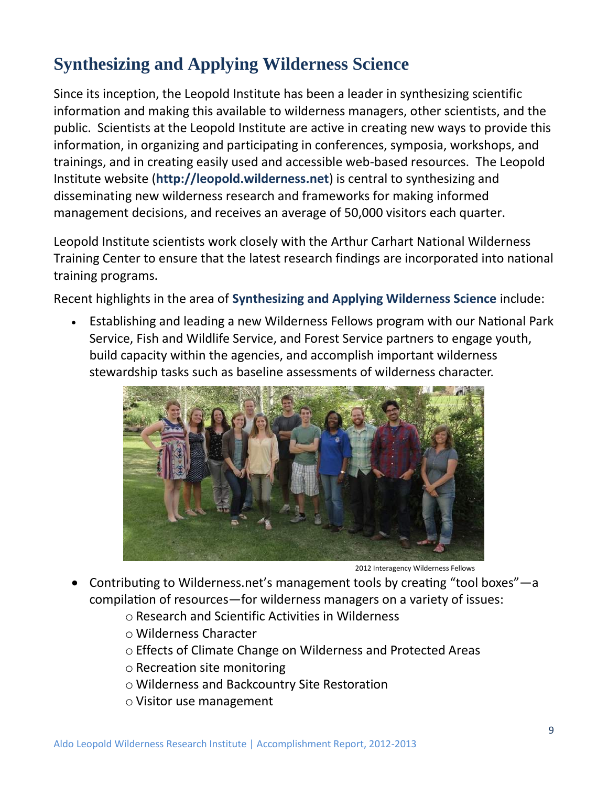## **Synthesizing and Applying Wilderness Science**

Since its inception, the Leopold Institute has been a leader in synthesizing scientific information and making this available to wilderness managers, other scientists, and the public. Scientists at the Leopold Institute are active in creating new ways to provide this information, in organizing and participating in conferences, symposia, workshops, and trainings, and in creating easily used and accessible web-based resources. The Leopold Institute website (**http://leopold.wilderness.net**) is central to synthesizing and disseminating new wilderness research and frameworks for making informed management decisions, and receives an average of 50,000 visitors each quarter.

Leopold Institute scientists work closely with the Arthur Carhart National Wilderness Training Center to ensure that the latest research findings are incorporated into national training programs.

Recent highlights in the area of **Synthesizing and Applying Wilderness Science** include:

 Establishing and leading a new Wilderness Fellows program with our National Park Service, Fish and Wildlife Service, and Forest Service partners to engage youth, build capacity within the agencies, and accomplish important wilderness stewardship tasks such as baseline assessments of wilderness character.



2012 Interagency Wilderness Fellows

- Contributing to Wilderness.net's management tools by creating "tool boxes"—a compilation of resources—for wilderness managers on a variety of issues:
	- o Research and Scientific Activities in Wilderness
	- o Wilderness Character
	- o Effects of Climate Change on Wilderness and Protected Areas
	- o Recreation site monitoring
	- o Wilderness and Backcountry Site Restoration
	- o Visitor use management